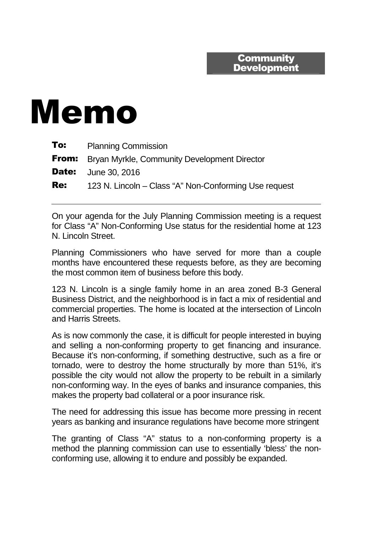## **Community Development**

## Memo

| To:          | <b>Planning Commission</b>                                |
|--------------|-----------------------------------------------------------|
|              | <b>From:</b> Bryan Myrkle, Community Development Director |
| <b>Date:</b> | June 30, 2016                                             |
| <b>Re:</b>   | 123 N. Lincoln – Class "A" Non-Conforming Use request     |

On your agenda for the July Planning Commission meeting is a request for Class "A" Non-Conforming Use status for the residential home at 123 N. Lincoln Street.

Planning Commissioners who have served for more than a couple months have encountered these requests before, as they are becoming the most common item of business before this body.

123 N. Lincoln is a single family home in an area zoned B-3 General Business District, and the neighborhood is in fact a mix of residential and commercial properties. The home is located at the intersection of Lincoln and Harris Streets.

As is now commonly the case, it is difficult for people interested in buying and selling a non-conforming property to get financing and insurance. Because it's non-conforming, if something destructive, such as a fire or tornado, were to destroy the home structurally by more than 51%, it's possible the city would not allow the property to be rebuilt in a similarly non-conforming way. In the eyes of banks and insurance companies, this makes the property bad collateral or a poor insurance risk.

The need for addressing this issue has become more pressing in recent years as banking and insurance regulations have become more stringent

The granting of Class "A" status to a non-conforming property is a method the planning commission can use to essentially 'bless' the nonconforming use, allowing it to endure and possibly be expanded.